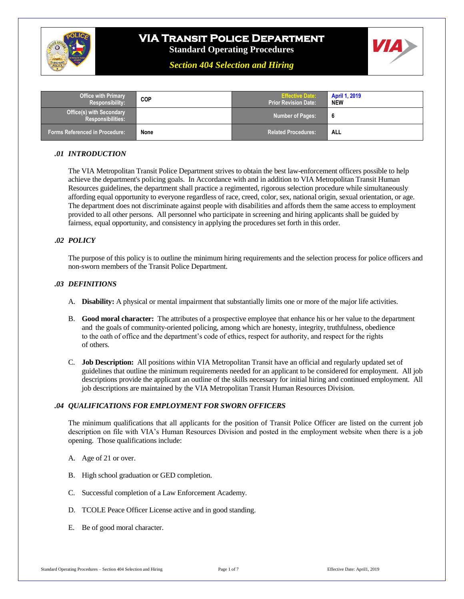

# **VIA Transit Police Department**

**Standard Operating Procedures**

*Section 404 Selection and Hiring*



| <b>Office with Primary</b><br>Responsibility:               | <b>COP</b> | <b>Effective Date:</b><br><b>Prior Revision Date:</b> ' | <b>April 1, 2019</b><br><b>NEW</b> |
|-------------------------------------------------------------|------------|---------------------------------------------------------|------------------------------------|
| <b>Office(s) with Secondary</b><br><b>Responsibilities:</b> |            | <b>Number of Pages:</b>                                 | - 6                                |
| <b>Forms Referenced in Procedure:</b>                       | None       | <b>Related Procedures:</b>                              | ALL                                |

### *.01 INTRODUCTION*

The VIA Metropolitan Transit Police Department strives to obtain the best law-enforcement officers possible to help achieve the department's policing goals. In Accordance with and in addition to VIA Metropolitan Transit Human Resources guidelines, the department shall practice a regimented, rigorous selection procedure while simultaneously affording equal opportunity to everyone regardless of race, creed, color, sex, national origin, sexual orientation, or age. The department does not discriminate against people with disabilities and affords them the same access to employment provided to all other persons. All personnel who participate in screening and hiring applicants shall be guided by fairness, equal opportunity, and consistency in applying the procedures set forth in this order.

#### **.***02 POLICY*

The purpose of this policy is to outline the minimum hiring requirements and the selection process for police officers and non-sworn members of the Transit Police Department.

#### *.03 DEFINITIONS*

- A. **Disability:** A physical or mental impairment that substantially limits one or more of the major life activities.
- B. **Good moral character:** The attributes of a prospective employee that enhance his or her value to the department and the goals of community-oriented policing, among which are honesty, integrity, truthfulness, obedience to the oath of office and the department's code of ethics, respect for authority, and respect for the rights of others.
- C. **Job Description:** All positions within VIA Metropolitan Transit have an official and regularly updated set of guidelines that outline the minimum requirements needed for an applicant to be considered for employment. All job descriptions provide the applicant an outline of the skills necessary for initial hiring and continued employment. All job descriptions are maintained by the VIA Metropolitan Transit Human Resources Division.

### *.04 QUALIFICATIONS FOR EMPLOYMENT FOR SWORN OFFICERS*

The minimum qualifications that all applicants for the position of Transit Police Officer are listed on the current job description on file with VIA's Human Resources Division and posted in the employment website when there is a job opening. Those qualifications include:

- A. Age of 21 or over.
- B. High school graduation or GED completion.
- C. Successful completion of a Law Enforcement Academy.
- D. TCOLE Peace Officer License active and in good standing.
- E. Be of good moral character.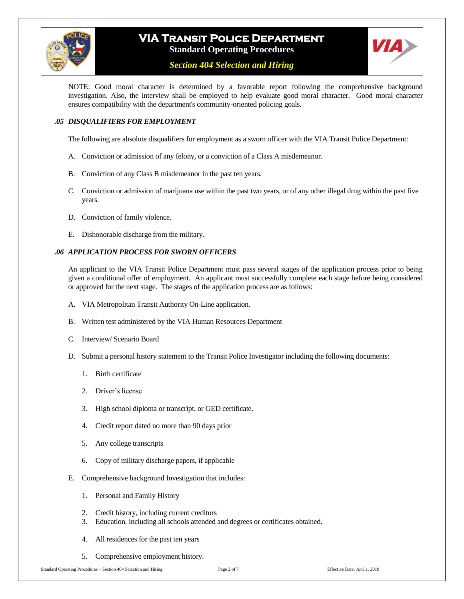

*Section 404 Selection and Hiring*



NOTE: Good moral character is determined by a favorable report following the comprehensive background investigation. Also, the interview shall be employed to help evaluate good moral character. Good moral character ensures compatibility with the department's community-oriented policing goals.

### *.05 DISQUALIFIERS FOR EMPLOYMENT*

The following are absolute disqualifiers for employment as a sworn officer with the VIA Transit Police Department:

- A. Conviction or admission of any felony, or a conviction of a Class A misdemeanor.
- B. Conviction of any Class B misdemeanor in the past ten years.
- C. Conviction or admission of marijuana use within the past two years, or of any other illegal drug within the past five years.
- D. Conviction of family violence.
- E. Dishonorable discharge from the military.

### *.06 APPLICATION PROCESS FOR SWORN OFFICERS*

An applicant to the VIA Transit Police Department must pass several stages of the application process prior to being given a conditional offer of employment. An applicant must successfully complete each stage before being considered or approved for the next stage. The stages of the application process are as follows:

- A. VIA Metropolitan Transit Authority On-Line application.
- B. Written test administered by the VIA Human Resources Department
- C. Interview/ Scenario Board
- D. Submit a personal history statement to the Transit Police Investigator including the following documents:
	- 1. Birth certificate
	- 2. Driver's license
	- 3. High school diploma or transcript, or GED certificate.
	- 4. Credit report dated no more than 90 days prior
	- 5. Any college transcripts
	- 6. Copy of military discharge papers, if applicable
- E. Comprehensive background Investigation that includes:
	- 1. Personal and Family History
	- 2. Credit history, including current creditors
	- 3. Education, including all schools attended and degrees or certificates obtained.
	- 4. All residences for the past ten years
	- 5. Comprehensive employment history.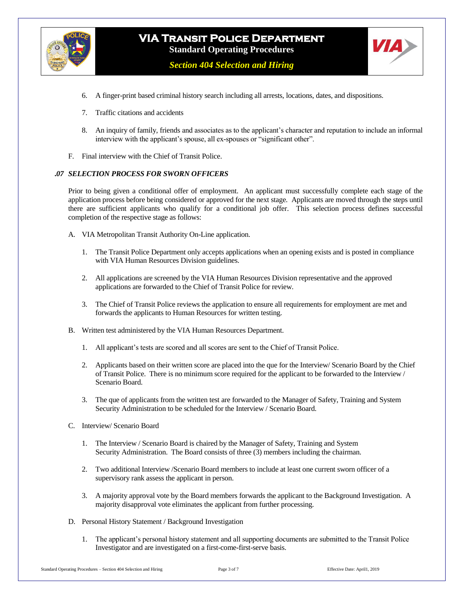



*Section 404 Selection and Hiring*

- 6. A finger-print based criminal history search including all arrests, locations, dates, and dispositions.
- 7. Traffic citations and accidents
- 8. An inquiry of family, friends and associates as to the applicant's character and reputation to include an informal interview with the applicant's spouse, all ex-spouses or "significant other".
- F. Final interview with the Chief of Transit Police.

### **.***07 SELECTION PROCESS FOR SWORN OFFICERS*

Prior to being given a conditional offer of employment. An applicant must successfully complete each stage of the application process before being considered or approved for the next stage. Applicants are moved through the steps until there are sufficient applicants who qualify for a conditional job offer. This selection process defines successful completion of the respective stage as follows:

- A. VIA Metropolitan Transit Authority On-Line application.
	- 1. The Transit Police Department only accepts applications when an opening exists and is posted in compliance with VIA Human Resources Division guidelines.
	- 2. All applications are screened by the VIA Human Resources Division representative and the approved applications are forwarded to the Chief of Transit Police for review.
	- 3. The Chief of Transit Police reviews the application to ensure all requirements for employment are met and forwards the applicants to Human Resources for written testing.
- B. Written test administered by the VIA Human Resources Department.
	- 1. All applicant's tests are scored and all scores are sent to the Chief of Transit Police.
	- 2. Applicants based on their written score are placed into the que for the Interview/ Scenario Board by the Chief of Transit Police. There is no minimum score required for the applicant to be forwarded to the Interview / Scenario Board.
	- 3. The que of applicants from the written test are forwarded to the Manager of Safety, Training and System Security Administration to be scheduled for the Interview / Scenario Board.
- C. Interview/ Scenario Board
	- 1. The Interview / Scenario Board is chaired by the Manager of Safety, Training and System Security Administration. The Board consists of three (3) members including the chairman.
	- 2. Two additional Interview /Scenario Board members to include at least one current sworn officer of a supervisory rank assess the applicant in person.
	- 3. A majority approval vote by the Board members forwards the applicant to the Background Investigation. A majority disapproval vote eliminates the applicant from further processing.
- D. Personal History Statement / Background Investigation
	- 1. The applicant's personal history statement and all supporting documents are submitted to the Transit Police Investigator and are investigated on a first-come-first-serve basis.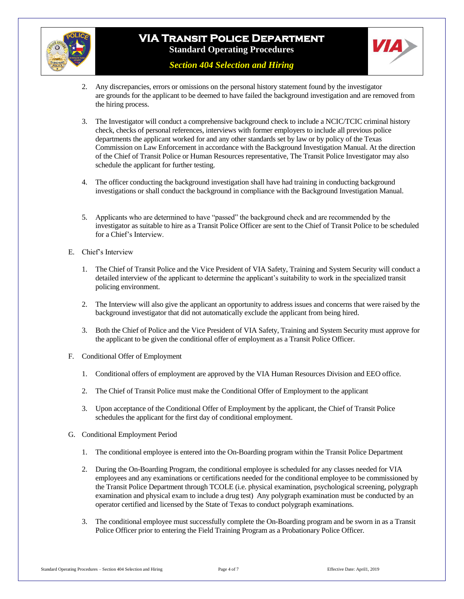



*Section 404 Selection and Hiring*

- 2. Any discrepancies, errors or omissions on the personal history statement found by the investigator are grounds for the applicant to be deemed to have failed the background investigation and are removed from the hiring process.
- 3. The Investigator will conduct a comprehensive background check to include a NCIC/TCIC criminal history check, checks of personal references, interviews with former employers to include all previous police departments the applicant worked for and any other standards set by law or by policy of the Texas Commission on Law Enforcement in accordance with the Background Investigation Manual. At the direction of the Chief of Transit Police or Human Resources representative, The Transit Police Investigator may also schedule the applicant for further testing.
- 4. The officer conducting the background investigation shall have had training in conducting background investigations or shall conduct the background in compliance with the Background Investigation Manual.
- 5. Applicants who are determined to have "passed" the background check and are recommended by the investigator as suitable to hire as a Transit Police Officer are sent to the Chief of Transit Police to be scheduled for a Chief's Interview.
- E. Chief's Interview
	- 1. The Chief of Transit Police and the Vice President of VIA Safety, Training and System Security will conduct a detailed interview of the applicant to determine the applicant's suitability to work in the specialized transit policing environment.
	- 2. The Interview will also give the applicant an opportunity to address issues and concerns that were raised by the background investigator that did not automatically exclude the applicant from being hired.
	- 3. Both the Chief of Police and the Vice President of VIA Safety, Training and System Security must approve for the applicant to be given the conditional offer of employment as a Transit Police Officer.
- F. Conditional Offer of Employment
	- 1. Conditional offers of employment are approved by the VIA Human Resources Division and EEO office.
	- 2. The Chief of Transit Police must make the Conditional Offer of Employment to the applicant
	- 3. Upon acceptance of the Conditional Offer of Employment by the applicant, the Chief of Transit Police schedules the applicant for the first day of conditional employment.
- G. Conditional Employment Period
	- 1. The conditional employee is entered into the On-Boarding program within the Transit Police Department
	- 2. During the On-Boarding Program, the conditional employee is scheduled for any classes needed for VIA employees and any examinations or certifications needed for the conditional employee to be commissioned by the Transit Police Department through TCOLE (i.e. physical examination, psychological screening, polygraph examination and physical exam to include a drug test) Any polygraph examination must be conducted by an operator certified and licensed by the State of Texas to conduct polygraph examinations.
	- 3. The conditional employee must successfully complete the On-Boarding program and be sworn in as a Transit Police Officer prior to entering the Field Training Program as a Probationary Police Officer.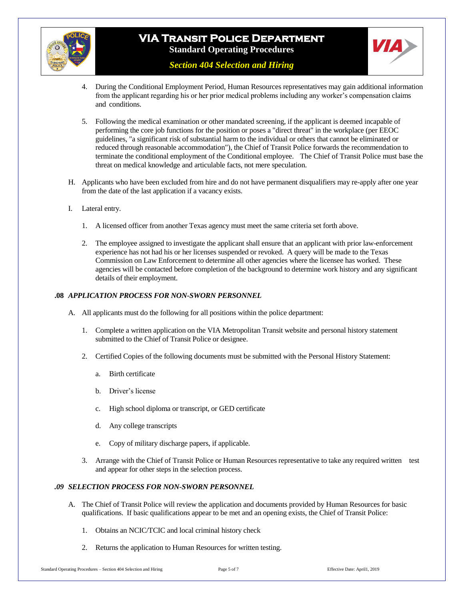



## *Section 404 Selection and Hiring*

- 4. During the Conditional Employment Period, Human Resources representatives may gain additional information from the applicant regarding his or her prior medical problems including any worker's compensation claims and conditions.
- 5. Following the medical examination or other mandated screening, if the applicant is deemed incapable of performing the core job functions for the position or poses a "direct threat" in the workplace (per EEOC guidelines, "a significant risk of substantial harm to the individual or others that cannot be eliminated or reduced through reasonable accommodation"), the Chief of Transit Police forwards the recommendation to terminate the conditional employment of the Conditional employee. The Chief of Transit Police must base the threat on medical knowledge and articulable facts, not mere speculation.
- H. Applicants who have been excluded from hire and do not have permanent disqualifiers may re-apply after one year from the date of the last application if a vacancy exists.
- I. Lateral entry.
	- 1. A licensed officer from another Texas agency must meet the same criteria set forth above.
	- 2. The employee assigned to investigate the applicant shall ensure that an applicant with prior law-enforcement experience has not had his or her licenses suspended or revoked. A query will be made to the Texas Commission on Law Enforcement to determine all other agencies where the licensee has worked. These agencies will be contacted before completion of the background to determine work history and any significant details of their employment.

### **.08** *APPLICATION PROCESS FOR NON-SWORN PERSONNEL*

- A. All applicants must do the following for all positions within the police department:
	- 1. Complete a written application on the VIA Metropolitan Transit website and personal history statement submitted to the Chief of Transit Police or designee.
	- 2. Certified Copies of the following documents must be submitted with the Personal History Statement:
		- a. Birth certificate
		- b. Driver's license
		- c. High school diploma or transcript, or GED certificate
		- d. Any college transcripts
		- e. Copy of military discharge papers, if applicable.
	- 3. Arrange with the Chief of Transit Police or Human Resources representative to take any required written test and appear for other steps in the selection process.

### *.09 SELECTION PROCESS FOR NON-SWORN PERSONNEL*

- A. The Chief of Transit Police will review the application and documents provided by Human Resources for basic qualifications. If basic qualifications appear to be met and an opening exists, the Chief of Transit Police:
	- 1. Obtains an NCIC/TCIC and local criminal history check
	- 2. Returns the application to Human Resources for written testing.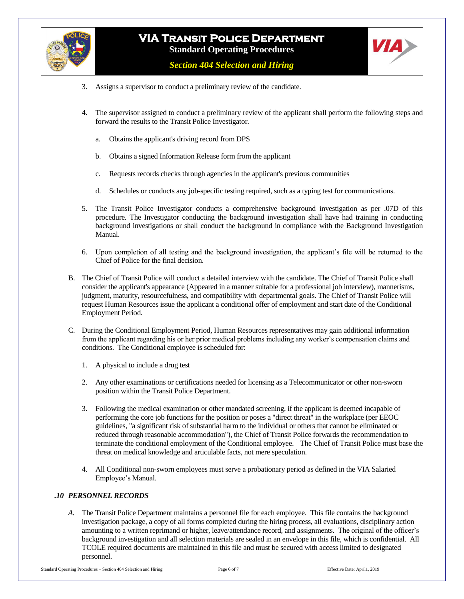

*Section 404 Selection and Hiring*



- 3. Assigns a supervisor to conduct a preliminary review of the candidate.
- 4. The supervisor assigned to conduct a preliminary review of the applicant shall perform the following steps and forward the results to the Transit Police Investigator.
	- a. Obtains the applicant's driving record from DPS
	- b. Obtains a signed Information Release form from the applicant
	- c. Requests records checks through agencies in the applicant's previous communities
	- d. Schedules or conducts any job-specific testing required, such as a typing test for communications.
- 5. The Transit Police Investigator conducts a comprehensive background investigation as per .07D of this procedure. The Investigator conducting the background investigation shall have had training in conducting background investigations or shall conduct the background in compliance with the Background Investigation Manual.
- 6. Upon completion of all testing and the background investigation, the applicant's file will be returned to the Chief of Police for the final decision.
- B. The Chief of Transit Police will conduct a detailed interview with the candidate. The Chief of Transit Police shall consider the applicant's appearance (Appeared in a manner suitable for a professional job interview), mannerisms, judgment, maturity, resourcefulness, and compatibility with departmental goals. The Chief of Transit Police will request Human Resources issue the applicant a conditional offer of employment and start date of the Conditional Employment Period.
- C. During the Conditional Employment Period, Human Resources representatives may gain additional information from the applicant regarding his or her prior medical problems including any worker's compensation claims and conditions. The Conditional employee is scheduled for:
	- 1. A physical to include a drug test
	- 2. Any other examinations or certifications needed for licensing as a Telecommunicator or other non-sworn position within the Transit Police Department.
	- 3. Following the medical examination or other mandated screening, if the applicant is deemed incapable of performing the core job functions for the position or poses a "direct threat" in the workplace (per EEOC guidelines, "a significant risk of substantial harm to the individual or others that cannot be eliminated or reduced through reasonable accommodation"), the Chief of Transit Police forwards the recommendation to terminate the conditional employment of the Conditional employee. The Chief of Transit Police must base the threat on medical knowledge and articulable facts, not mere speculation.
	- 4. All Conditional non-sworn employees must serve a probationary period as defined in the VIA Salaried Employee's Manual.

### *.10 PERSONNEL RECORDS*

*A.* The Transit Police Department maintains a personnel file for each employee. This file contains the background investigation package, a copy of all forms completed during the hiring process, all evaluations, disciplinary action amounting to a written reprimand or higher, leave/attendance record, and assignments. The original of the officer's background investigation and all selection materials are sealed in an envelope in this file, which is confidential. All TCOLE required documents are maintained in this file and must be secured with access limited to designated personnel.